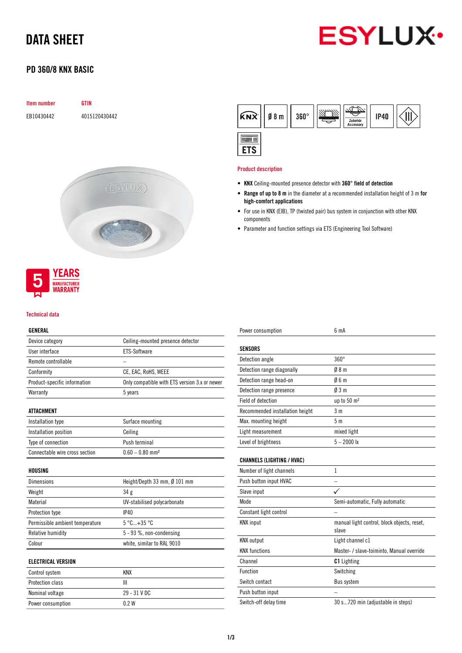# DATA SHEET



# PD 360/8 KNX BASIC



## **YEARS MANUFACTURER WARRANTY**

#### Technical data

## GENERAL

| Device category              | Ceiling-mounted presence detector             |
|------------------------------|-----------------------------------------------|
| User interface               | ETS-Software                                  |
| Remote controllable          |                                               |
| Conformity                   | CE, EAC, RoHS, WEEE                           |
| Product-specific information | Only compatible with ETS version 3.x or newer |
| Warranty                     | 5 years                                       |
|                              |                                               |
| <b>ATTA CUMENT</b>           |                                               |

### ATTACHMENT

| Installation type              | Surface mounting              |
|--------------------------------|-------------------------------|
| Installation position          | Ceiling                       |
| Type of connection             | Push terminal                 |
| Connectable wire cross section | $0.60 - 0.80$ mm <sup>2</sup> |

### HOUSING

| <b>Dimensions</b>               | Height/Depth 33 mm, $\emptyset$ 101 mm |
|---------------------------------|----------------------------------------|
| Weight                          | 34 g                                   |
| Material                        | UV-stabilised polycarbonate            |
| Protection type                 | IP40                                   |
| Permissible ambient temperature | $5^{\circ}$ C $+35^{\circ}$ C          |
| Relative humidity               | $5 - 93$ %, non-condensing             |
| Colour                          | white, similar to RAL 9010             |

#### ELECTRICAL VERSION

| Control system    | KNX            |
|-------------------|----------------|
| Protection class  |                |
| Nominal voltage   | $29 - 31$ V DC |
| Power consumption | 0 2 W          |

| $\widehat{KNX}$   08 m | $360^\circ$ | Zubehör<br><b>Accessory</b> | <b>IP40</b> |  |
|------------------------|-------------|-----------------------------|-------------|--|
|                        |             |                             |             |  |

#### Product description

- KNX Ceiling-mounted presence detector with 360° field of detection
- Range of up to 8 m in the diameter at a recommended installation height of 3 m for high-comfort applications
- For use in KNX (EIB), TP (twisted pair) bus system in conjunction with other KNX components
- Parameter and function settings via ETS (Engineering Tool Software)

| Power consumption                 | 6 <sub>m</sub> A                                     |
|-----------------------------------|------------------------------------------------------|
| <b>SENSORS</b>                    |                                                      |
| Detection angle                   | $360^\circ$                                          |
| Detection range diagonally        | 08 <sub>m</sub>                                      |
| Detection range head-on           | 06m                                                  |
| Detection range presence          | $\emptyset$ 3 m                                      |
| Field of detection                | up to 50 m <sup>2</sup>                              |
| Recommended installation height   | 3 <sub>m</sub>                                       |
| Max. mounting height              | 5 <sub>m</sub>                                       |
| Light measurement                 | mixed light                                          |
| Level of brightness               | $5 - 2000$ lx                                        |
| <b>CHANNELS (LIGHTING / HVAC)</b> |                                                      |
| Number of light channels          | 1                                                    |
| Push button input HVAC            |                                                      |
| Slave input                       |                                                      |
| Mode                              | Semi-automatic, Fully automatic                      |
| Constant light control            |                                                      |
| <b>KNX</b> input                  | manual light control, block objects, reset,<br>slave |
| <b>KNX</b> output                 | Light channel c1                                     |
| <b>KNX functions</b>              | Master- / slave-toiminto, Manual override            |
| Channel                           | <b>C1</b> Lighting                                   |
| Function                          | Switching                                            |
| Switch contact                    | Bus system                                           |
| Push button input                 |                                                      |
| Switch-off delay time             | 30 s720 min (adjustable in steps)                    |
|                                   |                                                      |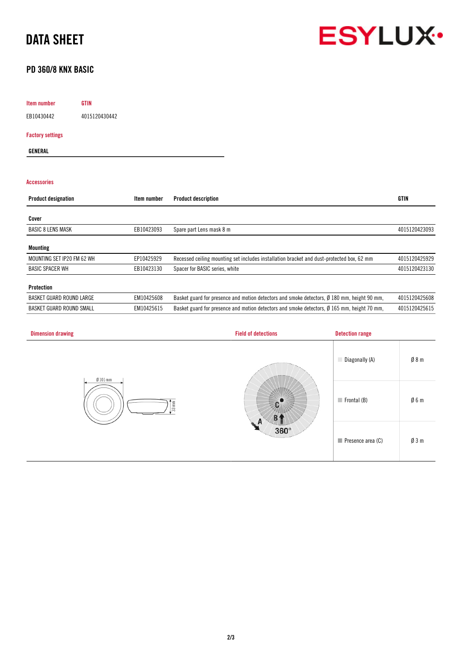# DATA SHEET



## PD 360/8 KNX BASIC

## Item number GTIN

EB10430442 4015120430442

### Factory settings

GENERAL

## Accessories

| <b>Product designation</b> | Item number | <b>Product description</b>                                                                  | <b>GTIN</b>   |
|----------------------------|-------------|---------------------------------------------------------------------------------------------|---------------|
|                            |             |                                                                                             |               |
| Cover                      |             |                                                                                             |               |
| <b>BASIC 8 LENS MASK</b>   | EB10423093  | Spare part Lens mask 8 m                                                                    | 4015120423093 |
| <b>Mounting</b>            |             |                                                                                             |               |
| MOUNTING SET IP20 FM 62 WH | EP10425929  | Recessed ceiling mounting set includes installation bracket and dust-protected box, 62 mm   | 4015120425929 |
| <b>BASIC SPACER WH</b>     | EB10423130  | Spacer for BASIC series, white                                                              | 4015120423130 |
| <b>Protection</b>          |             |                                                                                             |               |
| BASKET GUARD ROUND LARGE   | EM10425608  | Basket guard for presence and motion detectors and smoke detectors, Ø 180 mm, height 90 mm, | 4015120425608 |
| BASKET GUARD ROUND SMALL   | EM10425615  | Basket guard for presence and motion detectors and smoke detectors, Ø 165 mm, height 70 mm, | 4015120425615 |

| <b>Dimension drawing</b> | <b>Field of detections</b>               | <b>Detection range</b>     |                 |
|--------------------------|------------------------------------------|----------------------------|-----------------|
| $Ø101$ mm                | $33$ mm<br>$360^\circ$<br>Texture of the | Diagonally (A)             | Ø8m             |
|                          |                                          | $\blacksquare$ Frontal (B) | Ø6m             |
|                          |                                          | Presence area (C)          | $\emptyset$ 3 m |